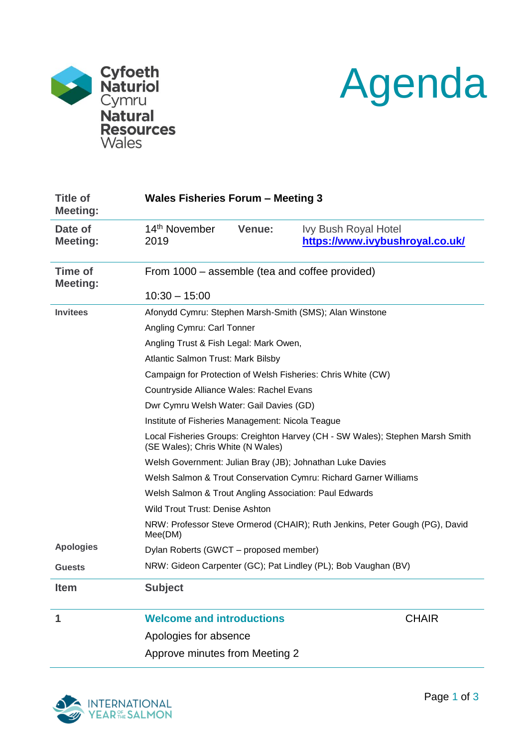



| <b>Title of</b><br><b>Meeting:</b> |                                                                                                                    | <b>Wales Fisheries Forum - Meeting 3</b> |  |  |
|------------------------------------|--------------------------------------------------------------------------------------------------------------------|------------------------------------------|--|--|
| Date of                            | 14 <sup>th</sup> November<br>Venue:                                                                                | <b>Ivy Bush Royal Hotel</b>              |  |  |
| <b>Meeting:</b>                    | 2019                                                                                                               | https://www.ivybushroyal.co.uk/          |  |  |
| <b>Time of</b><br><b>Meeting:</b>  | From 1000 – assemble (tea and coffee provided)                                                                     |                                          |  |  |
|                                    | $10:30 - 15:00$                                                                                                    |                                          |  |  |
| <b>Invitees</b>                    | Afonydd Cymru: Stephen Marsh-Smith (SMS); Alan Winstone                                                            |                                          |  |  |
|                                    | Angling Cymru: Carl Tonner                                                                                         |                                          |  |  |
|                                    | Angling Trust & Fish Legal: Mark Owen,                                                                             |                                          |  |  |
|                                    | Atlantic Salmon Trust: Mark Bilsby                                                                                 |                                          |  |  |
|                                    | Campaign for Protection of Welsh Fisheries: Chris White (CW)                                                       |                                          |  |  |
|                                    | Countryside Alliance Wales: Rachel Evans                                                                           |                                          |  |  |
|                                    | Dwr Cymru Welsh Water: Gail Davies (GD)                                                                            |                                          |  |  |
|                                    | Institute of Fisheries Management: Nicola Teague                                                                   |                                          |  |  |
|                                    | Local Fisheries Groups: Creighton Harvey (CH - SW Wales); Stephen Marsh Smith<br>(SE Wales); Chris White (N Wales) |                                          |  |  |
|                                    | Welsh Government: Julian Bray (JB); Johnathan Luke Davies                                                          |                                          |  |  |
|                                    | Welsh Salmon & Trout Conservation Cymru: Richard Garner Williams                                                   |                                          |  |  |
|                                    | Welsh Salmon & Trout Angling Association: Paul Edwards                                                             |                                          |  |  |
|                                    | Wild Trout Trust: Denise Ashton                                                                                    |                                          |  |  |
|                                    | NRW: Professor Steve Ormerod (CHAIR); Ruth Jenkins, Peter Gough (PG), David<br>Mee(DM)                             |                                          |  |  |
| <b>Apologies</b>                   | Dylan Roberts (GWCT – proposed member)                                                                             |                                          |  |  |
| <b>Guests</b>                      | NRW: Gideon Carpenter (GC); Pat Lindley (PL); Bob Vaughan (BV)                                                     |                                          |  |  |
| Item                               | <b>Subject</b>                                                                                                     |                                          |  |  |
| 1                                  | <b>Welcome and introductions</b>                                                                                   | <b>CHAIR</b>                             |  |  |
|                                    | Apologies for absence                                                                                              |                                          |  |  |

Approve minutes from Meeting 2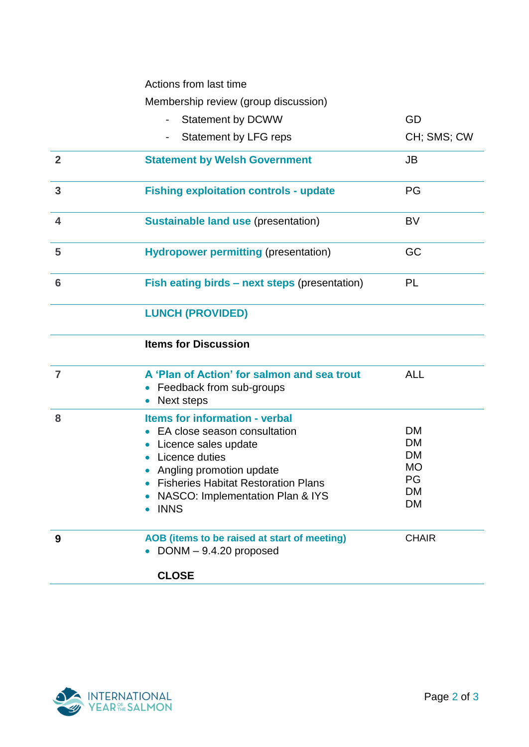Actions from last time

Membership review (group discussion)

|                         | <b>Membership review (group discussion)</b>                                                                                                                                                                                             |                                                                           |
|-------------------------|-----------------------------------------------------------------------------------------------------------------------------------------------------------------------------------------------------------------------------------------|---------------------------------------------------------------------------|
|                         | <b>Statement by DCWW</b>                                                                                                                                                                                                                | GD                                                                        |
|                         | Statement by LFG reps                                                                                                                                                                                                                   | CH; SMS; CW                                                               |
| $\overline{2}$          | <b>Statement by Welsh Government</b>                                                                                                                                                                                                    | <b>JB</b>                                                                 |
| $\mathbf{3}$            | <b>Fishing exploitation controls - update</b>                                                                                                                                                                                           | PG                                                                        |
| $\overline{\mathbf{4}}$ | <b>Sustainable land use (presentation)</b>                                                                                                                                                                                              | <b>BV</b>                                                                 |
| 5                       | <b>Hydropower permitting (presentation)</b>                                                                                                                                                                                             | GC                                                                        |
| 6                       | Fish eating birds – next steps (presentation)                                                                                                                                                                                           | PL                                                                        |
|                         | <b>LUNCH (PROVIDED)</b>                                                                                                                                                                                                                 |                                                                           |
|                         | <b>Items for Discussion</b>                                                                                                                                                                                                             |                                                                           |
| $\overline{7}$          | A 'Plan of Action' for salmon and sea trout<br>Feedback from sub-groups<br>Next steps                                                                                                                                                   | <b>ALL</b>                                                                |
| 8                       | <b>Items for information - verbal</b><br>EA close season consultation<br>Licence sales update<br>Licence duties<br>Angling promotion update<br><b>Fisheries Habitat Restoration Plans</b><br>NASCO: Implementation Plan & IYS<br>• INNS | <b>DM</b><br><b>DM</b><br><b>DM</b><br><b>MO</b><br><b>PG</b><br>DM<br>DM |
| 9                       | AOB (items to be raised at start of meeting)<br>$DOMM - 9.4.20$ proposed<br><b>CLOSE</b>                                                                                                                                                | <b>CHAIR</b>                                                              |